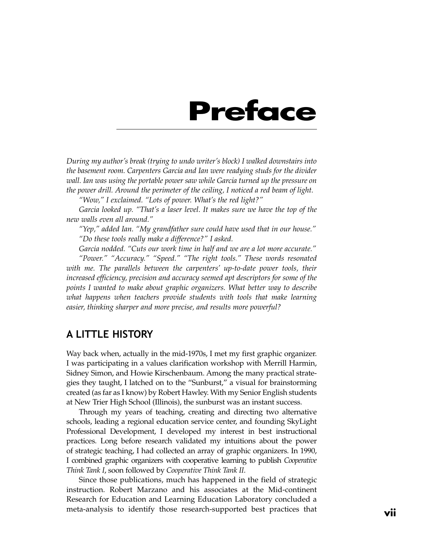# **Preface**

*During my author's break (trying to undo writer's block) I walked downstairs into the basement room. Carpenters Garcia and Ian were readying studs for the divider wall. Ian was using the portable power saw while Garcia turned up the pressure on the power drill. Around the perimeter of the ceiling, I noticed a red beam of light.*

*"Wow," I exclaimed. "Lots of power. What's the red light?"*

*Garcia looked up. "That's a laser level. It makes sure we have the top of the new walls even all around."*

*"Yep," added Ian. "My grandfather sure could have used that in our house." "Do these tools really make a difference?" I asked.*

*Garcia nodded. "Cuts our work time in half and we are a lot more accurate." "Power." "Accuracy." "Speed." "The right tools." These words resonated with me. The parallels between the carpenters' up-to-date power tools, their increased efficiency, precision and accuracy seemed apt descriptors for some of the points I wanted to make about graphic organizers. What better way to describe what happens when teachers provide students with tools that make learning easier, thinking sharper and more precise, and results more powerful?*

## A LITTLE HISTORY

Way back when, actually in the mid-1970s, I met my first graphic organizer. I was participating in a values clarification workshop with Merrill Harmin, Sidney Simon, and Howie Kirschenbaum. Among the many practical strategies they taught, I latched on to the "Sunburst," a visual for brainstorming created (as far as I know) by Robert Hawley. With my Senior English students at New Trier High School (Illinois), the sunburst was an instant success.

Through my years of teaching, creating and directing two alternative schools, leading a regional education service center, and founding SkyLight Professional Development, I developed my interest in best instructional practices. Long before research validated my intuitions about the power of strategic teaching, I had collected an array of graphic organizers. In 1990, I combined graphic organizers with cooperative learning to publish *Cooperative Think Tank I*, soon followed by *Cooperative Think Tank II*.

Since those publications, much has happened in the field of strategic instruction. Robert Marzano and his associates at the Mid-continent Research for Education and Learning Education Laboratory concluded a meta-analysis to identify those research-supported best practices that **vii**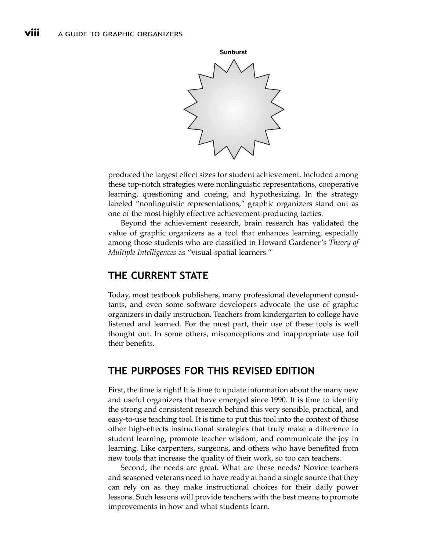

produced the largest effect sizes for student achievement. Included among these top-notch strategies were nonlinguistic representations, cooperative learning, questioning and cueing, and hypothesizing. In the strategy labeled "nonlinguistic representations," graphic organizers stand out as one of the most highly effective achievement-producing tactics.

Beyond the achievement research, brain research has validated the value of graphic organizers as a tool that enhances learning, especially among those students who are classified in Howard Gardener's *Theory of Multiple Intelligences* as "visual-spatial learners."

# THE CURRENT STATE

Today, most textbook publishers, many professional development consultants, and even some software developers advocate the use of graphic organizers in daily instruction. Teachers from kindergarten to college have listened and learned. For the most part, their use of these tools is well thought out. In some others, misconceptions and inappropriate use foil their benefits.

# THE PURPOSES FOR THIS REVISED EDITION

First, the time is right! It is time to update information about the many new and useful organizers that have emerged since 1990. It is time to identify the strong and consistent research behind this very sensible, practical, and easy-to-use teaching tool. It is time to put this tool into the context of those other high-effects instructional strategies that truly make a difference in student learning, promote teacher wisdom, and communicate the joy in learning. Like carpenters, surgeons, and others who have benefited from new tools that increase the quality of their work, so too can teachers.

Second, the needs are great. What are these needs? Novice teachers and seasoned veterans need to have ready at hand a single source that they can rely on as they make instructional choices for their daily power lessons. Such lessons will provide teachers with the best means to promote improvements in how and what students learn.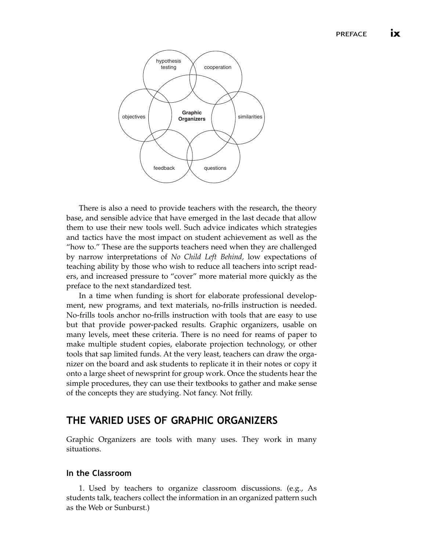

There is also a need to provide teachers with the research, the theory base, and sensible advice that have emerged in the last decade that allow them to use their new tools well. Such advice indicates which strategies and tactics have the most impact on student achievement as well as the "how to." These are the supports teachers need when they are challenged by narrow interpretations of *No Child Left Behind,* low expectations of teaching ability by those who wish to reduce all teachers into script readers, and increased pressure to "cover" more material more quickly as the preface to the next standardized test.

In a time when funding is short for elaborate professional development, new programs, and text materials, no-frills instruction is needed. No-frills tools anchor no-frills instruction with tools that are easy to use but that provide power-packed results. Graphic organizers, usable on many levels, meet these criteria. There is no need for reams of paper to make multiple student copies, elaborate projection technology, or other tools that sap limited funds. At the very least, teachers can draw the organizer on the board and ask students to replicate it in their notes or copy it onto a large sheet of newsprint for group work. Once the students hear the simple procedures, they can use their textbooks to gather and make sense of the concepts they are studying. Not fancy. Not frilly.

## THE VARIED USES OF GRAPHIC ORGANIZERS

Graphic Organizers are tools with many uses. They work in many situations.

#### In the Classroom

1. Used by teachers to organize classroom discussions. (e.g., As students talk, teachers collect the information in an organized pattern such as the Web or Sunburst.)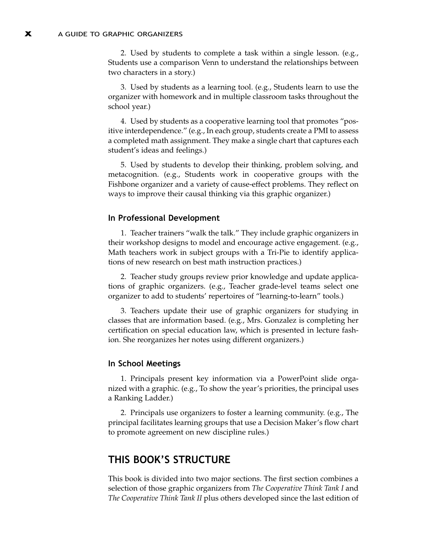2. Used by students to complete a task within a single lesson. (e.g., Students use a comparison Venn to understand the relationships between two characters in a story.)

3. Used by students as a learning tool. (e.g., Students learn to use the organizer with homework and in multiple classroom tasks throughout the school year.)

4. Used by students as a cooperative learning tool that promotes "positive interdependence." (e.g., In each group, students create a PMI to assess a completed math assignment. They make a single chart that captures each student's ideas and feelings.)

5. Used by students to develop their thinking, problem solving, and metacognition. (e.g., Students work in cooperative groups with the Fishbone organizer and a variety of cause-effect problems. They reflect on ways to improve their causal thinking via this graphic organizer.)

#### In Professional Development

1. Teacher trainers "walk the talk." They include graphic organizers in their workshop designs to model and encourage active engagement. (e.g., Math teachers work in subject groups with a Tri-Pie to identify applications of new research on best math instruction practices.)

2. Teacher study groups review prior knowledge and update applications of graphic organizers. (e.g., Teacher grade-level teams select one organizer to add to students' repertoires of "learning-to-learn" tools.)

3. Teachers update their use of graphic organizers for studying in classes that are information based. (e.g., Mrs. Gonzalez is completing her certification on special education law, which is presented in lecture fashion. She reorganizes her notes using different organizers.)

#### In School Meetings

1. Principals present key information via a PowerPoint slide organized with a graphic. (e.g., To show the year's priorities, the principal uses a Ranking Ladder.)

2. Principals use organizers to foster a learning community. (e.g., The principal facilitates learning groups that use a Decision Maker's flow chart to promote agreement on new discipline rules.)

## THIS BOOK'S STRUCTURE

This book is divided into two major sections. The first section combines a selection of those graphic organizers from *The Cooperative Think Tank I* and *The Cooperative Think Tank II* plus others developed since the last edition of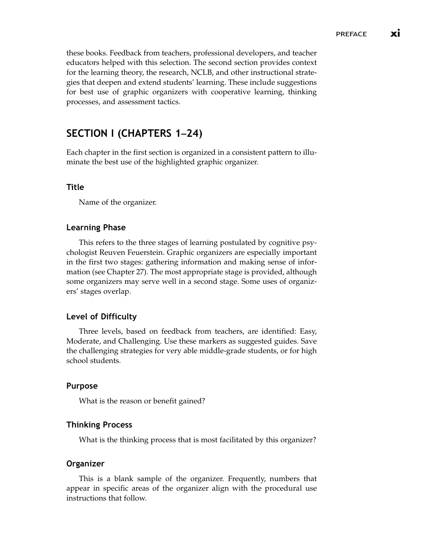these books. Feedback from teachers, professional developers, and teacher educators helped with this selection. The second section provides context for the learning theory, the research, NCLB, and other instructional strategies that deepen and extend students' learning. These include suggestions for best use of graphic organizers with cooperative learning, thinking processes, and assessment tactics.

## SECTION I (CHAPTERS 1**–**24)

Each chapter in the first section is organized in a consistent pattern to illuminate the best use of the highlighted graphic organizer.

#### Title

Name of the organizer.

#### Learning Phase

This refers to the three stages of learning postulated by cognitive psychologist Reuven Feuerstein. Graphic organizers are especially important in the first two stages: gathering information and making sense of information (see Chapter 27). The most appropriate stage is provided, although some organizers may serve well in a second stage. Some uses of organizers' stages overlap.

#### Level of Difficulty

Three levels, based on feedback from teachers, are identified: Easy, Moderate, and Challenging. Use these markers as suggested guides. Save the challenging strategies for very able middle-grade students, or for high school students.

#### Purpose

What is the reason or benefit gained?

#### Thinking Process

What is the thinking process that is most facilitated by this organizer?

#### Organizer

This is a blank sample of the organizer. Frequently, numbers that appear in specific areas of the organizer align with the procedural use instructions that follow.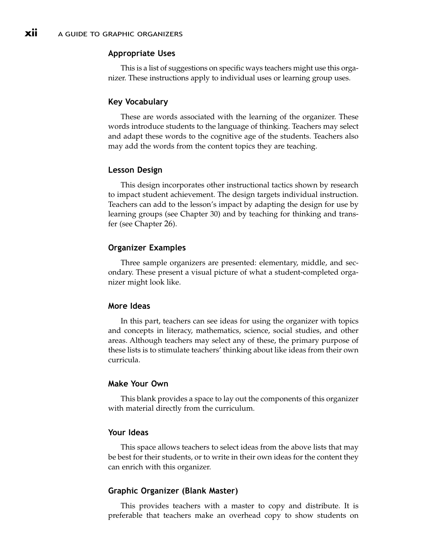#### Appropriate Uses

This is a list of suggestions on specific ways teachers might use this organizer. These instructions apply to individual uses or learning group uses.

#### Key Vocabulary

These are words associated with the learning of the organizer. These words introduce students to the language of thinking. Teachers may select and adapt these words to the cognitive age of the students. Teachers also may add the words from the content topics they are teaching.

#### Lesson Design

This design incorporates other instructional tactics shown by research to impact student achievement. The design targets individual instruction. Teachers can add to the lesson's impact by adapting the design for use by learning groups (see Chapter 30) and by teaching for thinking and transfer (see Chapter 26).

#### Organizer Examples

Three sample organizers are presented: elementary, middle, and secondary. These present a visual picture of what a student-completed organizer might look like.

#### More Ideas

In this part, teachers can see ideas for using the organizer with topics and concepts in literacy, mathematics, science, social studies, and other areas. Although teachers may select any of these, the primary purpose of these lists is to stimulate teachers' thinking about like ideas from their own curricula.

#### Make Your Own

This blank provides a space to lay out the components of this organizer with material directly from the curriculum.

#### Your Ideas

This space allows teachers to select ideas from the above lists that may be best for their students, or to write in their own ideas for the content they can enrich with this organizer.

#### Graphic Organizer (Blank Master)

This provides teachers with a master to copy and distribute. It is preferable that teachers make an overhead copy to show students on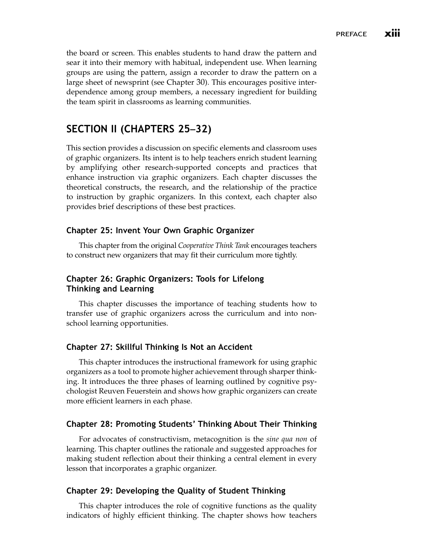the board or screen. This enables students to hand draw the pattern and sear it into their memory with habitual, independent use. When learning groups are using the pattern, assign a recorder to draw the pattern on a large sheet of newsprint (see Chapter 30). This encourages positive interdependence among group members, a necessary ingredient for building the team spirit in classrooms as learning communities.

## SECTION II (CHAPTERS 25**–**32)

This section provides a discussion on specific elements and classroom uses of graphic organizers. Its intent is to help teachers enrich student learning by amplifying other research-supported concepts and practices that enhance instruction via graphic organizers. Each chapter discusses the theoretical constructs, the research, and the relationship of the practice to instruction by graphic organizers. In this context, each chapter also provides brief descriptions of these best practices.

#### Chapter 25: Invent Your Own Graphic Organizer

This chapter from the original *Cooperative Think Tank* encourages teachers to construct new organizers that may fit their curriculum more tightly.

#### Chapter 26: Graphic Organizers: Tools for Lifelong Thinking and Learning

This chapter discusses the importance of teaching students how to transfer use of graphic organizers across the curriculum and into nonschool learning opportunities.

#### Chapter 27: Skillful Thinking Is Not an Accident

This chapter introduces the instructional framework for using graphic organizers as a tool to promote higher achievement through sharper thinking. It introduces the three phases of learning outlined by cognitive psychologist Reuven Feuerstein and shows how graphic organizers can create more efficient learners in each phase.

#### Chapter 28: Promoting Students' Thinking About Their Thinking

For advocates of constructivism, metacognition is the *sine qua non* of learning. This chapter outlines the rationale and suggested approaches for making student reflection about their thinking a central element in every lesson that incorporates a graphic organizer.

#### Chapter 29: Developing the Quality of Student Thinking

This chapter introduces the role of cognitive functions as the quality indicators of highly efficient thinking. The chapter shows how teachers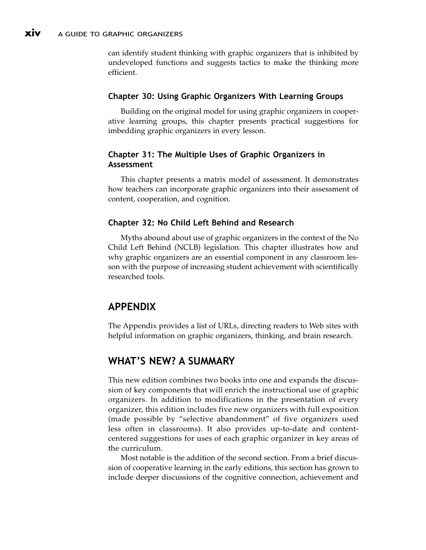can identify student thinking with graphic organizers that is inhibited by undeveloped functions and suggests tactics to make the thinking more efficient.

### Chapter 30: Using Graphic Organizers With Learning Groups

Building on the original model for using graphic organizers in cooperative learning groups, this chapter presents practical suggestions for imbedding graphic organizers in every lesson.

## Chapter 31: The Multiple Uses of Graphic Organizers in Assessment

This chapter presents a matrix model of assessment. It demonstrates how teachers can incorporate graphic organizers into their assessment of content, cooperation, and cognition.

## Chapter 32: No Child Left Behind and Research

Myths abound about use of graphic organizers in the context of the No Child Left Behind (NCLB) legislation. This chapter illustrates how and why graphic organizers are an essential component in any classroom lesson with the purpose of increasing student achievement with scientifically researched tools.

# APPENDIX

The Appendix provides a list of URLs, directing readers to Web sites with helpful information on graphic organizers, thinking, and brain research.

# WHAT'S NEW? A SUMMARY

This new edition combines two books into one and expands the discussion of key components that will enrich the instructional use of graphic organizers. In addition to modifications in the presentation of every organizer, this edition includes five new organizers with full exposition (made possible by "selective abandonment" of five organizers used less often in classrooms). It also provides up-to-date and contentcentered suggestions for uses of each graphic organizer in key areas of the curriculum.

Most notable is the addition of the second section. From a brief discussion of cooperative learning in the early editions, this section has grown to include deeper discussions of the cognitive connection, achievement and